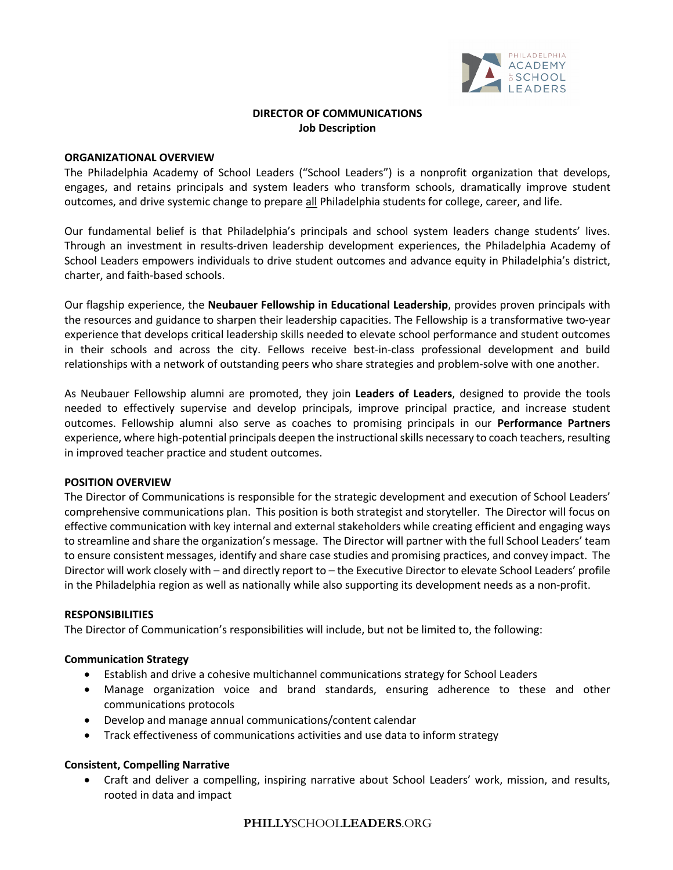

# **DIRECTOR OF COMMUNICATIONS Job Description**

#### **ORGANIZATIONAL OVERVIEW**

The Philadelphia Academy of School Leaders ("School Leaders") is a nonprofit organization that develops, engages, and retains principals and system leaders who transform schools, dramatically improve student outcomes, and drive systemic change to prepare all Philadelphia students for college, career, and life.

Our fundamental belief is that Philadelphia's principals and school system leaders change students' lives. Through an investment in results-driven leadership development experiences, the Philadelphia Academy of School Leaders empowers individuals to drive student outcomes and advance equity in Philadelphia's district, charter, and faith-based schools.

Our flagship experience, the **Neubauer Fellowship in Educational Leadership**, provides proven principals with the resources and guidance to sharpen their leadership capacities. The Fellowship is a transformative two-year experience that develops critical leadership skills needed to elevate school performance and student outcomes in their schools and across the city. Fellows receive best-in-class professional development and build relationships with a network of outstanding peers who share strategies and problem-solve with one another.

As Neubauer Fellowship alumni are promoted, they join **Leaders of Leaders**, designed to provide the tools needed to effectively supervise and develop principals, improve principal practice, and increase student outcomes. Fellowship alumni also serve as coaches to promising principals in our **Performance Partners** experience, where high-potential principals deepen the instructional skills necessary to coach teachers, resulting in improved teacher practice and student outcomes.

## **POSITION OVERVIEW**

The Director of Communications is responsible for the strategic development and execution of School Leaders' comprehensive communications plan. This position is both strategist and storyteller. The Director will focus on effective communication with key internal and external stakeholders while creating efficient and engaging ways to streamline and share the organization's message. The Director will partner with the full School Leaders' team to ensure consistent messages, identify and share case studies and promising practices, and convey impact. The Director will work closely with – and directly report to – the Executive Director to elevate School Leaders' profile in the Philadelphia region as well as nationally while also supporting its development needs as a non-profit.

#### **RESPONSIBILITIES**

The Director of Communication's responsibilities will include, but not be limited to, the following:

## **Communication Strategy**

- Establish and drive a cohesive multichannel communications strategy for School Leaders
- Manage organization voice and brand standards, ensuring adherence to these and other communications protocols
- Develop and manage annual communications/content calendar
- Track effectiveness of communications activities and use data to inform strategy

## **Consistent, Compelling Narrative**

• Craft and deliver a compelling, inspiring narrative about School Leaders' work, mission, and results, rooted in data and impact

## **PHILLY**SCHOOL**LEADERS**.ORG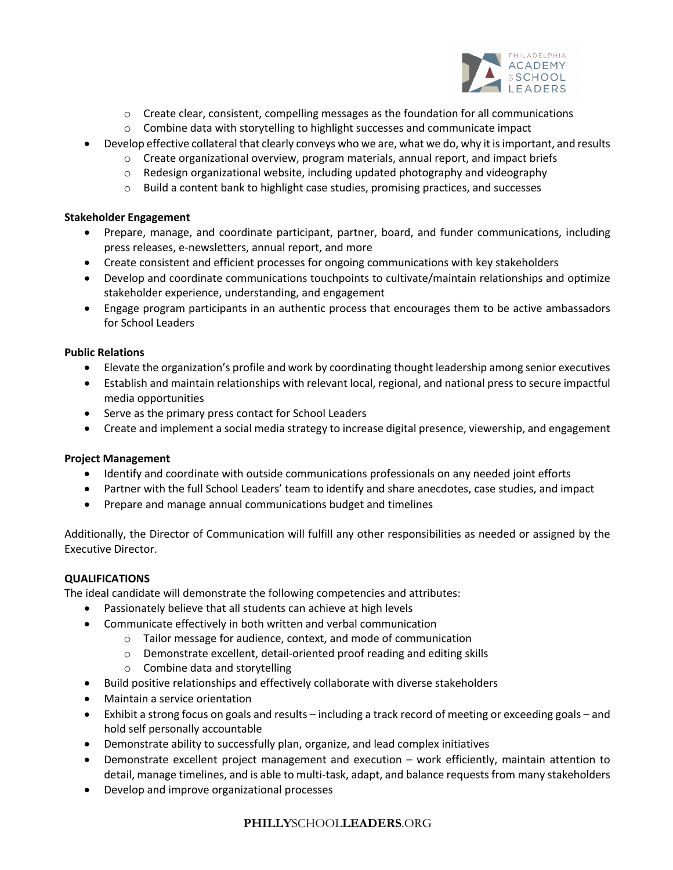

- o Create clear, consistent, compelling messages as the foundation for all communications
- o Combine data with storytelling to highlight successes and communicate impact
- Develop effective collateral that clearly conveys who we are, what we do, why it is important, and results
	- $\circ$  Create organizational overview, program materials, annual report, and impact briefs
		- $\circ$  Redesign organizational website, including updated photography and videography
	- o Build a content bank to highlight case studies, promising practices, and successes

### **Stakeholder Engagement**

- Prepare, manage, and coordinate participant, partner, board, and funder communications, including press releases, e-newsletters, annual report, and more
- Create consistent and efficient processes for ongoing communications with key stakeholders
- Develop and coordinate communications touchpoints to cultivate/maintain relationships and optimize stakeholder experience, understanding, and engagement
- Engage program participants in an authentic process that encourages them to be active ambassadors for School Leaders

## **Public Relations**

- Elevate the organization's profile and work by coordinating thought leadership among senior executives
- Establish and maintain relationships with relevant local, regional, and national press to secure impactful media opportunities
- Serve as the primary press contact for School Leaders
- Create and implement a social media strategy to increase digital presence, viewership, and engagement

## **Project Management**

- Identify and coordinate with outside communications professionals on any needed joint efforts
- Partner with the full School Leaders' team to identify and share anecdotes, case studies, and impact
- Prepare and manage annual communications budget and timelines

Additionally, the Director of Communication will fulfill any other responsibilities as needed or assigned by the Executive Director.

## **QUALIFICATIONS**

The ideal candidate will demonstrate the following competencies and attributes:

- Passionately believe that all students can achieve at high levels
- Communicate effectively in both written and verbal communication
	- o Tailor message for audience, context, and mode of communication
	- o Demonstrate excellent, detail-oriented proof reading and editing skills
	- o Combine data and storytelling
- Build positive relationships and effectively collaborate with diverse stakeholders
- Maintain a service orientation
- Exhibit a strong focus on goals and results including a track record of meeting or exceeding goals and hold self personally accountable
- Demonstrate ability to successfully plan, organize, and lead complex initiatives
- Demonstrate excellent project management and execution work efficiently, maintain attention to detail, manage timelines, and is able to multi-task, adapt, and balance requests from many stakeholders
- Develop and improve organizational processes

## **PHILLY**SCHOOL**LEADERS**.ORG